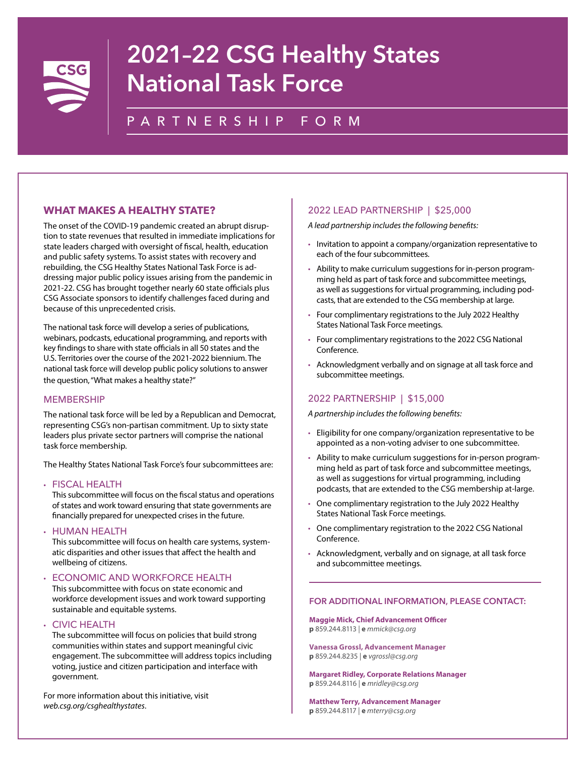

# 2021–22 CSG Healthy States National Task Force

# PARTNERSHIP FORM

## **WHAT MAKES A HEALTHY STATE?**

The onset of the COVID-19 pandemic created an abrupt disruption to state revenues that resulted in immediate implications for state leaders charged with oversight of fiscal, health, education and public safety systems. To assist states with recovery and rebuilding, the CSG Healthy States National Task Force is addressing major public policy issues arising from the pandemic in 2021-22. CSG has brought together nearly 60 state officials plus CSG Associate sponsors to identify challenges faced during and because of this unprecedented crisis.

The national task force will develop a series of publications, webinars, podcasts, educational programming, and reports with key findings to share with state officials in all 50 states and the U.S. Territories over the course of the 2021-2022 biennium. The national task force will develop public policy solutions to answer the question, "What makes a healthy state?"

### **MEMBERSHIP**

The national task force will be led by a Republican and Democrat, representing CSG's non-partisan commitment. Up to sixty state leaders plus private sector partners will comprise the national task force membership.

The Healthy States National Task Force's four subcommittees are:

#### • FISCAL HEALTH

This subcommittee will focus on the fiscal status and operations of states and work toward ensuring that state governments are financially prepared for unexpected crises in the future.

• HUMAN HEALTH

This subcommittee will focus on health care systems, systematic disparities and other issues that affect the health and wellbeing of citizens.

#### • ECONOMIC AND WORKFORCE HEALTH

This subcommittee with focus on state economic and workforce development issues and work toward supporting sustainable and equitable systems.

• CIVIC HEALTH

The subcommittee will focus on policies that build strong communities within states and support meaningful civic engagement. The subcommittee will address topics including voting, justice and citizen participation and interface with government.

For more information about this initiative, visit *[web.csg.org/csghealthystates](http://web.csg.org/csghealthystates)*.

### 2022 LEAD PARTNERSHIP | \$25,000

*A lead partnership includes the following benefits:*

- Invitation to appoint a company/organization representative to each of the four subcommittees.
- Ability to make curriculum suggestions for in-person programming held as part of task force and subcommittee meetings, as well as suggestions for virtual programming, including podcasts, that are extended to the CSG membership at large.
- Four complimentary registrations to the July 2022 Healthy States National Task Force meetings.
- Four complimentary registrations to the 2022 CSG National Conference.
- Acknowledgment verbally and on signage at all task force and subcommittee meetings.

## 2022 PARTNERSHIP | \$15,000

*A partnership includes the following benefits:*

- Eligibility for one company/organization representative to be appointed as a non-voting adviser to one subcommittee.
- Ability to make curriculum suggestions for in-person programming held as part of task force and subcommittee meetings, as well as suggestions for virtual programming, including podcasts, that are extended to the CSG membership at-large.
- One complimentary registration to the July 2022 Healthy States National Task Force meetings.
- One complimentary registration to the 2022 CSG National Conference.
- Acknowledgment, verbally and on signage, at all task force and subcommittee meetings.

#### FOR ADDITIONAL INFORMATION, PLEASE CONTACT:

**Maggie Mick, Chief Advancement Officer p** 859.244.8113 | **e** *mmick@csg.org*

**Vanessa Grossl, Advancement Manager p** 859.244.8235 | **e** *vgrossl@csg.org*

**Margaret Ridley, Corporate Relations Manager p** 859.244.8116 | **e** *mridley@csg.org*

**Matthew Terry, Advancement Manager p** 859.244.8117 | **e** *mterry@csg.org*